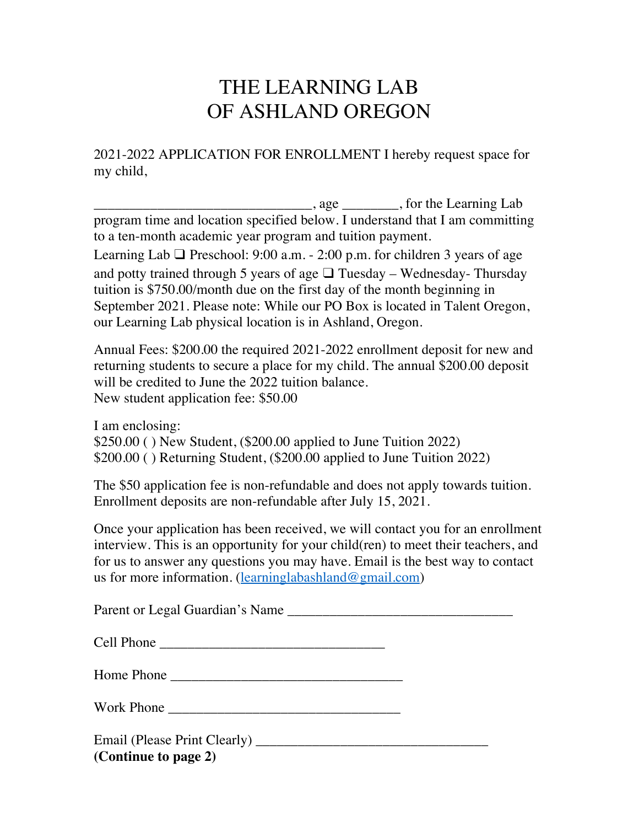## THE LEARNING LAB OF ASHLAND OREGON

2021-2022 APPLICATION FOR ENROLLMENT I hereby request space for my child,

 $\frac{1}{\sqrt{2\pi}}$ , age  $\frac{1}{\sqrt{2\pi}}$ , for the Learning Lab program time and location specified below. I understand that I am committing to a ten-month academic year program and tuition payment.

Learning Lab  $\Box$  Preschool: 9:00 a.m. - 2:00 p.m. for children 3 years of age and potty trained through 5 years of age  $\Box$  Tuesday – Wednesday-Thursday tuition is \$750.00/month due on the first day of the month beginning in September 2021. Please note: While our PO Box is located in Talent Oregon, our Learning Lab physical location is in Ashland, Oregon.

Annual Fees: \$200.00 the required 2021-2022 enrollment deposit for new and returning students to secure a place for my child. The annual \$200.00 deposit will be credited to June the 2022 tuition balance. New student application fee: \$50.00

I am enclosing: \$250.00 ( ) New Student, (\$200.00 applied to June Tuition 2022) \$200.00 ( ) Returning Student, (\$200.00 applied to June Tuition 2022)

The \$50 application fee is non-refundable and does not apply towards tuition. Enrollment deposits are non-refundable after July 15, 2021.

Once your application has been received, we will contact you for an enrollment interview. This is an opportunity for your child(ren) to meet their teachers, and for us to answer any questions you may have. Email is the best way to contact us for more information. (learninglabashland@gmail.com)

Parent or Legal Guardian's Name \_\_\_\_\_\_\_\_\_\_\_\_\_\_\_\_\_\_\_\_\_\_\_\_\_\_\_\_\_\_\_\_

| C <sub>el</sub> 1 |  |
|-------------------|--|
|-------------------|--|

Home Phone \_\_\_\_\_\_\_\_\_\_\_\_\_\_\_\_\_\_\_\_\_\_\_\_\_\_\_\_\_\_\_\_\_

Work Phone

Email (Please Print Clearly) \_\_\_\_\_\_\_\_\_\_\_\_\_\_\_\_\_\_\_\_\_\_\_\_\_\_\_\_\_\_\_\_\_ **(Continue to page 2)**